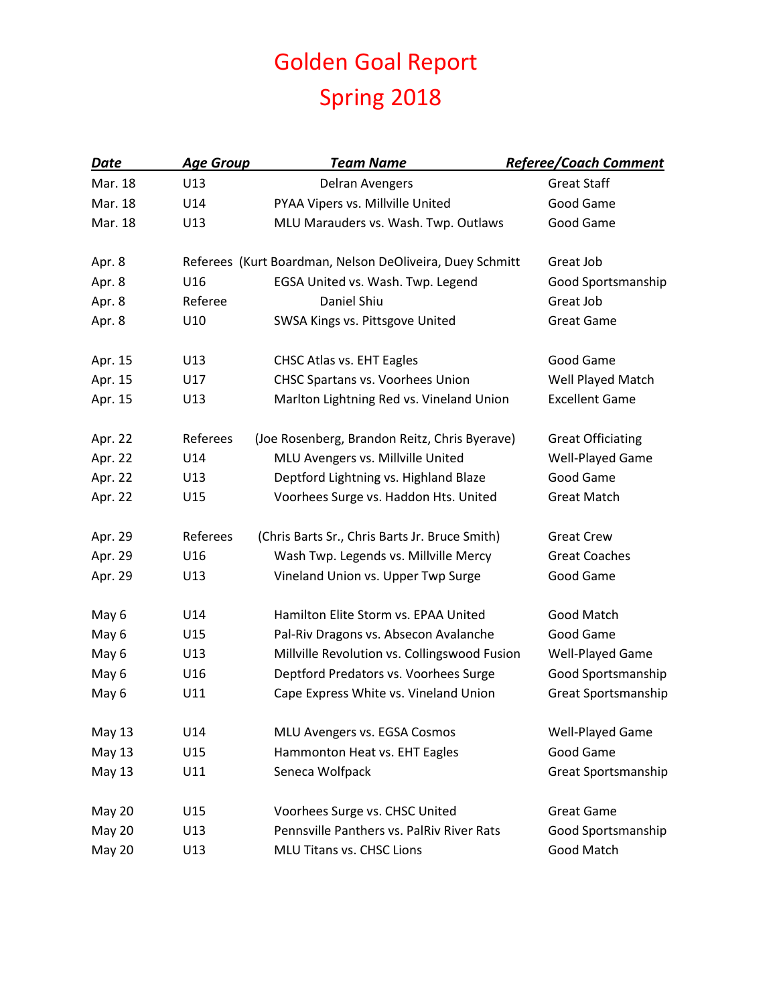## Golden Goal Report Spring 2018

| Date          | <b>Age Group</b> | <b>Team Name</b>                                         | <b>Referee/Coach Comment</b> |
|---------------|------------------|----------------------------------------------------------|------------------------------|
| Mar. 18       | U13              | <b>Delran Avengers</b>                                   | <b>Great Staff</b>           |
| Mar. 18       | U14              | PYAA Vipers vs. Millville United                         | Good Game                    |
| Mar. 18       | U13              | MLU Marauders vs. Wash. Twp. Outlaws                     | Good Game                    |
| Apr. 8        |                  | Referees (Kurt Boardman, Nelson DeOliveira, Duey Schmitt | Great Job                    |
| Apr. 8        | U16              | EGSA United vs. Wash. Twp. Legend                        | Good Sportsmanship           |
| Apr. 8        | Referee          | Daniel Shiu                                              | Great Job                    |
| Apr. 8        | U10              | SWSA Kings vs. Pittsgove United                          | <b>Great Game</b>            |
| Apr. 15       | U13              | CHSC Atlas vs. EHT Eagles                                | Good Game                    |
| Apr. 15       | U17              | CHSC Spartans vs. Voorhees Union                         | Well Played Match            |
| Apr. 15       | U13              | Marlton Lightning Red vs. Vineland Union                 | <b>Excellent Game</b>        |
| Apr. 22       | Referees         | (Joe Rosenberg, Brandon Reitz, Chris Byerave)            | <b>Great Officiating</b>     |
| Apr. 22       | U14              | MLU Avengers vs. Millville United                        | Well-Played Game             |
| Apr. 22       | U13              | Deptford Lightning vs. Highland Blaze                    | Good Game                    |
| Apr. 22       | U15              | Voorhees Surge vs. Haddon Hts. United                    | <b>Great Match</b>           |
| Apr. 29       | Referees         | (Chris Barts Sr., Chris Barts Jr. Bruce Smith)           | <b>Great Crew</b>            |
| Apr. 29       | U16              | Wash Twp. Legends vs. Millville Mercy                    | <b>Great Coaches</b>         |
| Apr. 29       | U13              | Vineland Union vs. Upper Twp Surge                       | Good Game                    |
| May 6         | U14              | Hamilton Elite Storm vs. EPAA United                     | Good Match                   |
| May 6         | U15              | Pal-Riv Dragons vs. Absecon Avalanche                    | Good Game                    |
| May 6         | U13              | Millville Revolution vs. Collingswood Fusion             | Well-Played Game             |
| May 6         | U16              | Deptford Predators vs. Voorhees Surge                    | Good Sportsmanship           |
| May 6         | U11              | Cape Express White vs. Vineland Union                    | Great Sportsmanship          |
| May 13        | U14              | MLU Avengers vs. EGSA Cosmos                             | Well-Played Game             |
| <b>May 13</b> | U15              | Hammonton Heat vs. EHT Eagles                            | Good Game                    |
| May 13        | U11              | Seneca Wolfpack                                          | Great Sportsmanship          |
| <b>May 20</b> | U15              | Voorhees Surge vs. CHSC United                           | <b>Great Game</b>            |
| <b>May 20</b> | U13              | Pennsville Panthers vs. PalRiv River Rats                | Good Sportsmanship           |
| <b>May 20</b> | U13              | MLU Titans vs. CHSC Lions                                | Good Match                   |